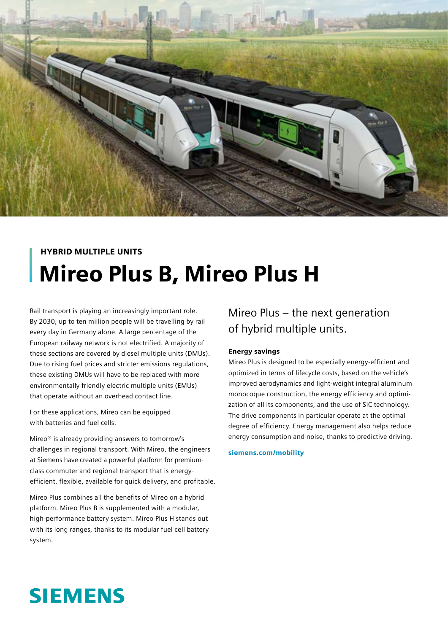

# HYBRID MULTIPLE UNITS Mireo Plus B, Mireo Plus H

Rail transport is playing an increasingly important role. By 2030, up to ten million people will be travelling by rail every day in Germany alone. A large percentage of the European railway network is not electrified. A majority of these sections are covered by diesel multiple units (DMUs). Due to rising fuel prices and stricter emissions regulations, these existing DMUs will have to be replaced with more environmentally friendly electric multiple units (EMUs) that operate without an overhead contact line.

For these applications, Mireo can be equipped with batteries and fuel cells.

Mireo® is already providing answers to tomorrow's challenges in regional transport. With Mireo, the engineers at Siemens have created a powerful platform for premiumclass commuter and regional transport that is energyefficient, flexible, available for quick delivery, and profitable.

Mireo Plus combines all the benefits of Mireo on a hybrid platform. Mireo Plus B is supplemented with a modular, high-performance battery system. Mireo Plus H stands out with its long ranges, thanks to its modular fuel cell battery system.

## Mireo Plus – the next generation of hybrid multiple units.

#### Energy savings

Mireo Plus is designed to be especially energy-efficient and optimized in terms of lifecycle costs, based on the vehicle's improved aerodynamics and light-weight integral aluminum monocoque construction, the energy efficiency and optimization of all its components, and the use of SiC technology. The drive components in particular operate at the optimal degree of efficiency. Energy management also helps reduce energy consumption and noise, thanks to predictive driving.

siemens.com/mobility

# **SIEMENS**